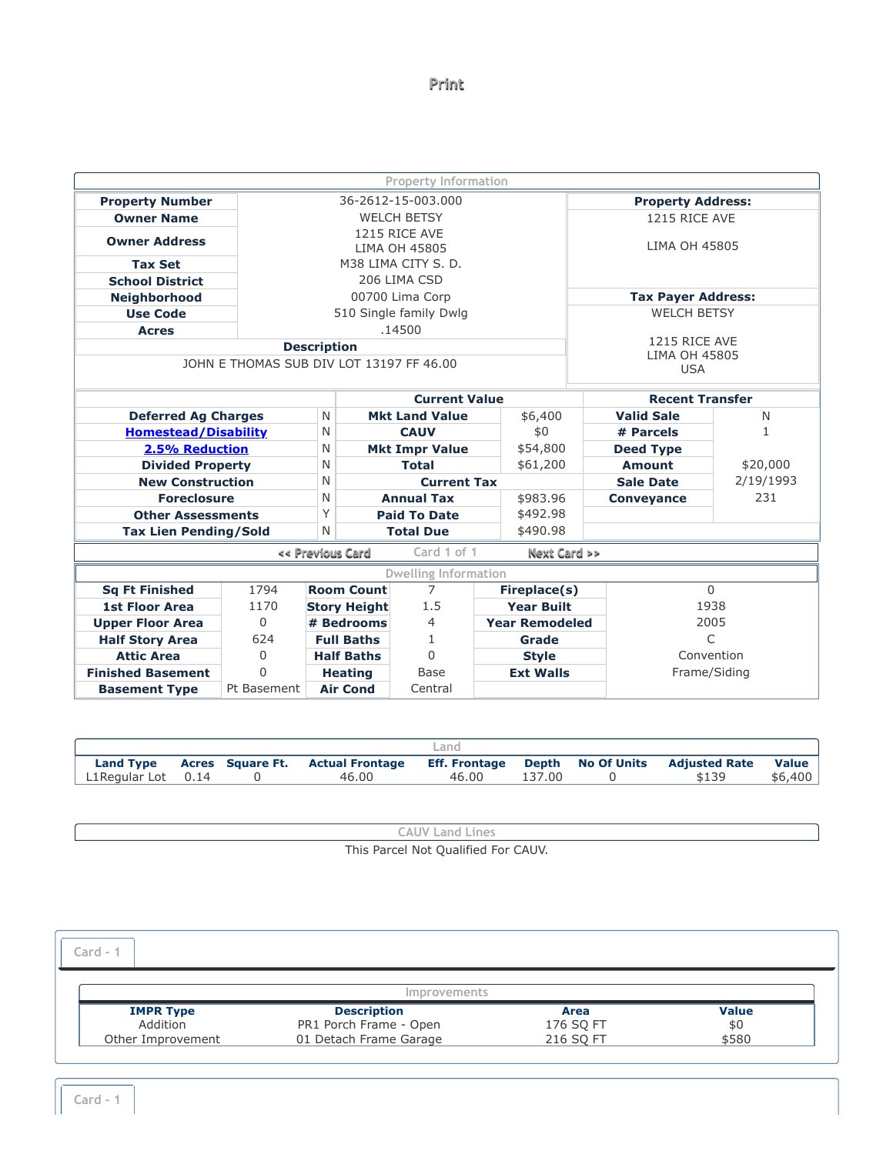## **[Print](javascript:window.print())**

|                                          |             |   |                                 | <b>Property Information</b>    |  |                       |                        |                                |           |
|------------------------------------------|-------------|---|---------------------------------|--------------------------------|--|-----------------------|------------------------|--------------------------------|-----------|
| <b>Property Number</b>                   |             |   |                                 | 36-2612-15-003.000             |  |                       |                        | <b>Property Address:</b>       |           |
| <b>Owner Name</b>                        |             |   |                                 | <b>WELCH BETSY</b>             |  |                       |                        | 1215 RICE AVE                  |           |
| <b>Owner Address</b>                     |             |   |                                 | 1215 RICE AVE<br>LIMA OH 45805 |  |                       |                        | LIMA OH 45805                  |           |
| <b>Tax Set</b>                           |             |   |                                 | M38 LIMA CITY S. D.            |  |                       |                        |                                |           |
| <b>School District</b>                   |             |   |                                 | 206 LIMA CSD                   |  |                       |                        |                                |           |
| <b>Neighborhood</b>                      |             |   |                                 | 00700 Lima Corp                |  |                       |                        | <b>Tax Payer Address:</b>      |           |
| <b>Use Code</b>                          |             |   |                                 | 510 Single family Dwlg         |  |                       |                        | <b>WELCH BETSY</b>             |           |
| <b>Acres</b>                             |             |   |                                 | .14500                         |  |                       |                        |                                |           |
|                                          |             |   | <b>Description</b>              |                                |  |                       |                        | 1215 RICE AVE<br>LIMA OH 45805 |           |
| JOHN E THOMAS SUB DIV LOT 13197 FF 46.00 |             |   |                                 |                                |  |                       |                        | <b>USA</b>                     |           |
|                                          |             |   |                                 | <b>Current Value</b>           |  |                       | <b>Recent Transfer</b> |                                |           |
| <b>Deferred Ag Charges</b>               |             | N |                                 | <b>Mkt Land Value</b>          |  | \$6,400               |                        | <b>Valid Sale</b>              | N         |
| <b>Homestead/Disability</b>              |             | N |                                 | <b>CAUV</b>                    |  | \$0                   |                        | # Parcels                      | 1         |
| 2.5% Reduction                           |             | N |                                 | <b>Mkt Impr Value</b>          |  | \$54,800              |                        | <b>Deed Type</b>               |           |
| <b>Divided Property</b>                  |             | N |                                 | <b>Total</b>                   |  | \$61,200              |                        | Amount                         | \$20,000  |
| <b>New Construction</b>                  |             | N |                                 | <b>Current Tax</b>             |  |                       |                        | <b>Sale Date</b>               | 2/19/1993 |
| <b>Foreclosure</b>                       |             | N |                                 | <b>Annual Tax</b>              |  | \$983.96              |                        | <b>Conveyance</b>              | 231       |
| <b>Other Assessments</b>                 |             | Y | <b>Paid To Date</b><br>\$492.98 |                                |  |                       |                        |                                |           |
| <b>Tax Lien Pending/Sold</b>             |             | N |                                 | <b>Total Due</b>               |  | \$490.98              |                        |                                |           |
|                                          |             |   | << Previous Card                | Card 1 of 1                    |  | Next Card >>          |                        |                                |           |
|                                          |             |   |                                 | Dwelling Information           |  |                       |                        |                                |           |
| <b>Sq Ft Finished</b>                    | 1794        |   | <b>Room Count</b>               | $\overline{7}$                 |  | Fireplace(s)          |                        | $\Omega$                       |           |
| <b>1st Floor Area</b>                    | 1170        |   | <b>Story Height</b>             | 1.5                            |  | <b>Year Built</b>     |                        | 1938                           |           |
| <b>Upper Floor Area</b>                  | $\Omega$    |   | # Bedrooms                      | $\overline{4}$                 |  | <b>Year Remodeled</b> |                        | 2005                           |           |
| <b>Half Story Area</b>                   | 624         |   | <b>Full Baths</b>               | 1.                             |  | Grade                 |                        | $\subset$                      |           |
| <b>Attic Area</b>                        | $\Omega$    |   | <b>Half Baths</b>               | $\Omega$                       |  | <b>Style</b>          |                        | Convention                     |           |
| <b>Finished Basement</b>                 | $\Omega$    |   | <b>Heating</b>                  | <b>Base</b>                    |  | <b>Ext Walls</b>      |                        | Frame/Siding                   |           |
| <b>Basement Type</b>                     | Pt Basement |   | <b>Air Cond</b>                 | Central                        |  |                       |                        |                                |           |

|                    |  |                                  | _and  |        |                                                            |         |
|--------------------|--|----------------------------------|-------|--------|------------------------------------------------------------|---------|
| <b>Land Type</b>   |  | Acres Square Ft. Actual Frontage |       |        | <b>Eff. Frontage Depth No Of Units Adjusted Rate Value</b> |         |
| L1Regular Lot 0.14 |  | 46.00                            | 46.00 | 137.00 | \$139                                                      | \$6,400 |

| AUV Land Lines.                     |  |
|-------------------------------------|--|
| This Parcel Not Qualified For CAUV. |  |

<span id="page-0-0"></span>

| Card -            |                        |           |              |
|-------------------|------------------------|-----------|--------------|
|                   | <i>Improvements</i>    |           |              |
| <b>IMPR Type</b>  | <b>Description</b>     | Area      | <b>Value</b> |
| Addition          | PR1 Porch Frame - Open | 176 SQ FT | \$0          |
| Other Improvement | 01 Detach Frame Garage | 216 SQ FT | \$580        |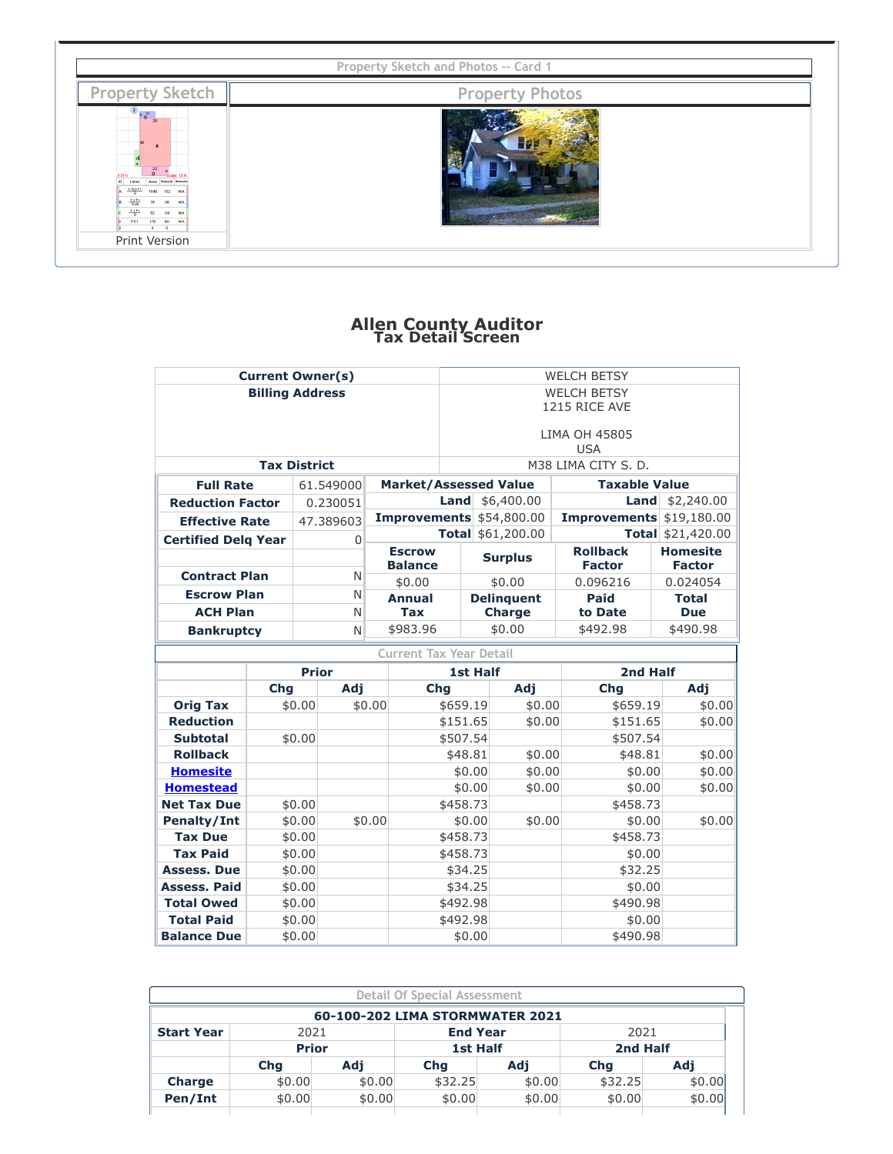<span id="page-1-0"></span>

| <b>Property Sketch</b>                                                                                                                                                                                                 | <b>Property Photos</b> |  |
|------------------------------------------------------------------------------------------------------------------------------------------------------------------------------------------------------------------------|------------------------|--|
| $\begin{array}{ c c }\n\hline\n2 & 0 & 13 \\ \hline\n0 & B & 28\n\end{array}$<br>Label<br><b>Area</b> Permeter Diversio<br>$1.36$ s Fr.<br>132 N/A<br>1040<br>28<br>176<br>00<br>PR1<br>$\sim$<br>- O<br>Print Version |                        |  |

T

## **Allen County Auditor Tax Detail Screen**

|                                          | <b>Current Owner(s)</b> |                  |             |        |                                |                      |                 |                             | <b>WELCH BETSY</b>       |                          |  |
|------------------------------------------|-------------------------|------------------|-------------|--------|--------------------------------|----------------------|-----------------|-----------------------------|--------------------------|--------------------------|--|
|                                          | <b>Billing Address</b>  |                  |             |        |                                | <b>WELCH BETSY</b>   |                 |                             |                          |                          |  |
|                                          |                         |                  |             |        |                                | 1215 RICE AVE        |                 |                             |                          |                          |  |
|                                          |                         |                  |             |        | LIMA OH 45805                  |                      |                 |                             |                          |                          |  |
|                                          |                         |                  |             |        |                                |                      |                 |                             | <b>USA</b>               |                          |  |
|                                          | <b>Tax District</b>     |                  |             |        |                                |                      |                 |                             | M38 LIMA CITY S. D.      |                          |  |
| <b>Full Rate</b>                         |                         |                  | 61.549000   |        | <b>Market/Assessed Value</b>   |                      |                 |                             | <b>Taxable Value</b>     |                          |  |
| <b>Reduction Factor</b>                  |                         |                  | 0.230051    |        |                                |                      |                 | <b>Land</b> $$6,400.00$     |                          | <b>Land</b> $$2,240.00$  |  |
| <b>Effective Rate</b>                    |                         |                  | 47.389603   |        |                                |                      |                 | $Improvements$ \$54,800.00  | Improvements \$19,180.00 |                          |  |
| <b>Certified Delg Year</b>               |                         |                  | $\mathbf 0$ |        |                                |                      |                 | Total \$61,200.00           |                          | Total \$21,420.00        |  |
|                                          |                         |                  |             |        | <b>Escrow</b>                  |                      |                 | <b>Surplus</b>              | <b>Rollback</b>          | <b>Homesite</b>          |  |
| <b>Contract Plan</b>                     |                         |                  | N           |        | <b>Balance</b>                 |                      |                 |                             | <b>Factor</b>            | <b>Factor</b>            |  |
| <b>Escrow Plan</b>                       |                         |                  | N           |        | \$0.00<br><b>Annual</b>        |                      |                 | \$0.00<br><b>Delinguent</b> | 0.096216<br>Paid         | 0.024054<br><b>Total</b> |  |
| <b>ACH Plan</b>                          |                         |                  | N           |        | <b>Tax</b>                     |                      |                 | <b>Charge</b>               | to Date                  | <b>Due</b>               |  |
| <b>Bankruptcy</b>                        |                         |                  | N           |        | \$983.96                       |                      |                 | \$0.00                      | \$492.98                 | \$490.98                 |  |
|                                          |                         |                  |             |        | <b>Current Tax Year Detail</b> |                      |                 |                             |                          |                          |  |
|                                          |                         | <b>Prior</b>     |             |        |                                |                      | <b>1st Half</b> |                             | 2nd Half                 |                          |  |
|                                          | Chg                     |                  | Adj         |        | Chg                            |                      |                 | Adj                         | Chg                      | Adj                      |  |
| <b>Orig Tax</b>                          |                         | \$0.00           |             | \$0.00 |                                | \$659.19             |                 | \$0.00                      | \$659.19                 | \$0.00                   |  |
| <b>Reduction</b>                         |                         |                  |             |        |                                | \$151.65             |                 | \$0.00                      | \$151.65                 | \$0.00                   |  |
| <b>Subtotal</b>                          |                         | \$0.00           |             |        |                                | \$507.54             |                 |                             | \$507.54                 |                          |  |
| <b>Rollback</b>                          |                         |                  |             |        |                                | \$48.81              |                 | \$0.00                      | \$48.81                  | \$0.00                   |  |
| <b>Homesite</b>                          |                         |                  |             |        |                                |                      | \$0.00          | \$0.00                      | \$0.00                   | \$0.00                   |  |
| <b>Homestead</b>                         |                         |                  |             |        |                                |                      | \$0.00          | \$0.00                      | \$0.00                   | \$0.00                   |  |
| <b>Net Tax Due</b>                       |                         | \$0.00           |             |        |                                | \$458.73             |                 |                             | \$458.73                 |                          |  |
| <b>Penalty/Int</b>                       |                         | \$0.00           |             | \$0.00 |                                |                      | \$0.00          | \$0.00                      | \$0.00                   | \$0.00                   |  |
| <b>Tax Due</b>                           |                         | \$0.00           |             |        |                                | \$458.73             |                 |                             | \$458.73                 |                          |  |
| <b>Tax Paid</b>                          |                         | \$0.00           |             |        |                                | \$458.73             |                 |                             | \$0.00                   |                          |  |
| <b>Assess. Due</b>                       |                         | \$0.00           |             |        |                                | \$34.25              |                 |                             | \$32.25                  |                          |  |
| <b>Assess, Paid</b><br><b>Total Owed</b> |                         | \$0.00           |             |        |                                | \$34.25              |                 |                             | \$0.00<br>\$490.98       |                          |  |
| <b>Total Paid</b>                        |                         | \$0.00<br>\$0.00 |             |        |                                | \$492.98<br>\$492.98 |                 |                             | \$0.00                   |                          |  |
| <b>Balance Due</b>                       |                         | \$0.00           |             |        |                                |                      | \$0.00          |                             | \$490.98                 |                          |  |
|                                          |                         |                  |             |        |                                |                      |                 |                             |                          |                          |  |

| <b>Detail Of Special Assessment</b> |                                 |        |                 |                                 |          |        |  |
|-------------------------------------|---------------------------------|--------|-----------------|---------------------------------|----------|--------|--|
|                                     |                                 |        |                 | 60-100-202 LIMA STORMWATER 2021 |          |        |  |
| <b>Start Year</b>                   | <b>End Year</b><br>2021<br>2021 |        |                 |                                 |          |        |  |
|                                     | <b>Prior</b>                    |        | <b>1st Half</b> |                                 | 2nd Half |        |  |
|                                     | Cha                             | Adi    | Chq             | Adi                             | Cha      | Adi    |  |
| <b>Charge</b>                       | \$0.00                          | \$0.00 | \$32.25         | \$0.00                          | \$32.25  | \$0.00 |  |
| Pen/Int                             | \$0.00                          | \$0.00 | \$0.00          | \$0.00                          | \$0.00   | \$0.00 |  |
|                                     |                                 |        |                 |                                 |          |        |  |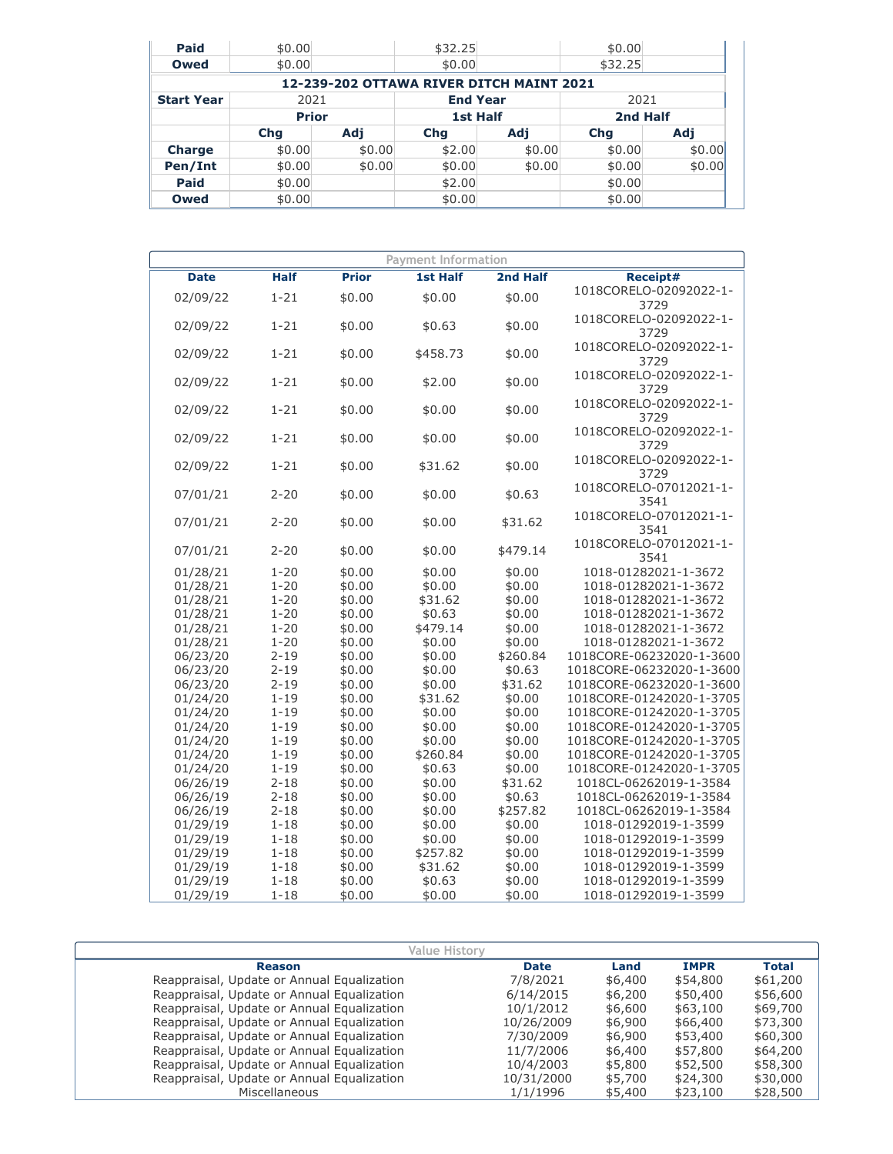| Paid              | \$0.00       |        | \$32.25         |                                          | \$0.00     |        |          |  |
|-------------------|--------------|--------|-----------------|------------------------------------------|------------|--------|----------|--|
| Owed              | \$0.00       |        | \$0.00          |                                          | \$32.25    |        |          |  |
|                   |              |        |                 | 12-239-202 OTTAWA RIVER DITCH MAINT 2021 |            |        |          |  |
| <b>Start Year</b> | 2021         |        | <b>End Year</b> |                                          | 2021       |        |          |  |
|                   | <b>Prior</b> |        | <b>1st Half</b> |                                          |            |        | 2nd Half |  |
|                   | <b>Chg</b>   | Adi    | <b>Chq</b>      | Adj                                      | <b>Chg</b> | Adi    |          |  |
| <b>Charge</b>     | \$0.00       | \$0.00 | \$2.00          | \$0.00                                   | \$0.00     | \$0.00 |          |  |
| Pen/Int           | \$0.00       | \$0.00 | \$0.00          | \$0.00                                   | \$0.00     | \$0.00 |          |  |
| Paid              | \$0.00       |        | \$2.00          |                                          | \$0.00     |        |          |  |
| Owed              | \$0.00       |        | \$0.00          |                                          | \$0.00     |        |          |  |

| <b>Payment Information</b> |                      |                  |                  |                   |                                                  |  |  |
|----------------------------|----------------------|------------------|------------------|-------------------|--------------------------------------------------|--|--|
| <b>Date</b>                | <b>Half</b>          | <b>Prior</b>     | <b>1st Half</b>  | 2nd Half          | Receipt#                                         |  |  |
| 02/09/22                   | $1 - 21$             | \$0.00           | \$0.00           | \$0.00            | 1018CORELO-02092022-1-                           |  |  |
|                            |                      |                  |                  |                   | 3729                                             |  |  |
| 02/09/22                   | $1 - 21$             | \$0.00           | \$0.63           | \$0.00            | 1018CORELO-02092022-1-<br>3729                   |  |  |
|                            |                      |                  |                  |                   | 1018CORELO-02092022-1-                           |  |  |
| 02/09/22                   | $1 - 21$             | \$0.00           | \$458.73         | \$0.00            | 3729                                             |  |  |
|                            |                      |                  |                  |                   | 1018CORELO-02092022-1-                           |  |  |
| 02/09/22                   | $1 - 21$             | \$0.00           | \$2.00           | \$0.00            | 3729                                             |  |  |
| 02/09/22                   | $1 - 21$             | \$0.00           | \$0.00           | \$0.00            | 1018CORELO-02092022-1-                           |  |  |
|                            |                      |                  |                  |                   | 3729                                             |  |  |
| 02/09/22                   | $1 - 21$             | \$0.00           | \$0.00           | \$0.00            | 1018CORELO-02092022-1-                           |  |  |
|                            |                      |                  |                  |                   | 3729                                             |  |  |
| 02/09/22                   | $1 - 21$             | \$0.00           | \$31.62          | \$0.00            | 1018CORELO-02092022-1-                           |  |  |
|                            |                      |                  |                  |                   | 3729                                             |  |  |
| 07/01/21                   | $2 - 20$             | \$0.00           | \$0.00           | \$0.63            | 1018CORELO-07012021-1-                           |  |  |
|                            |                      |                  |                  |                   | 3541<br>1018CORELO-07012021-1-                   |  |  |
| 07/01/21                   | $2 - 20$             | \$0.00           | \$0.00           | \$31.62           | 3541                                             |  |  |
|                            |                      |                  |                  |                   | 1018CORELO-07012021-1-                           |  |  |
| 07/01/21                   | $2 - 20$             | \$0.00           | \$0.00           | \$479.14          | 3541                                             |  |  |
| 01/28/21                   | $1 - 20$             | \$0.00           | \$0.00           | \$0.00            | 1018-01282021-1-3672                             |  |  |
| 01/28/21                   | $1 - 20$             | \$0.00           | \$0.00           | \$0.00            | 1018-01282021-1-3672                             |  |  |
| 01/28/21                   | $1 - 20$             | \$0.00           | \$31.62          | \$0.00            | 1018-01282021-1-3672                             |  |  |
| 01/28/21                   | $1 - 20$             | \$0.00           | \$0.63           | \$0.00            | 1018-01282021-1-3672                             |  |  |
| 01/28/21                   | $1 - 20$             | \$0.00           | \$479.14         | \$0.00            | 1018-01282021-1-3672                             |  |  |
| 01/28/21                   | $1 - 20$             | \$0.00           | \$0.00           | \$0.00            | 1018-01282021-1-3672                             |  |  |
| 06/23/20                   | $2 - 19$             | \$0.00           | \$0.00           | \$260.84          | 1018CORE-06232020-1-3600                         |  |  |
| 06/23/20                   | $2 - 19$             | \$0.00           | \$0.00           | \$0.63            | 1018CORE-06232020-1-3600                         |  |  |
| 06/23/20                   | $2 - 19$             | \$0.00           | \$0.00           | \$31.62           | 1018CORE-06232020-1-3600                         |  |  |
| 01/24/20                   | $1 - 19$             | \$0.00           | \$31.62          | \$0.00            | 1018CORE-01242020-1-3705                         |  |  |
| 01/24/20                   | $1 - 19$             | \$0.00           | \$0.00           | \$0.00            | 1018CORE-01242020-1-3705                         |  |  |
| 01/24/20                   | $1 - 19$             | \$0.00           | \$0.00           | \$0.00            | 1018CORE-01242020-1-3705                         |  |  |
| 01/24/20                   | $1 - 19$             | \$0.00           | \$0.00           | \$0.00            | 1018CORE-01242020-1-3705                         |  |  |
| 01/24/20                   | $1 - 19$             | \$0.00           | \$260.84         | \$0.00            | 1018CORE-01242020-1-3705                         |  |  |
| 01/24/20                   | $1 - 19$             | \$0.00           | \$0.63           | \$0.00            | 1018CORE-01242020-1-3705                         |  |  |
| 06/26/19                   | $2 - 18$<br>$2 - 18$ | \$0.00<br>\$0.00 | \$0.00<br>\$0.00 | \$31.62<br>\$0.63 | 1018CL-06262019-1-3584<br>1018CL-06262019-1-3584 |  |  |
| 06/26/19<br>06/26/19       | $2 - 18$             | \$0.00           | \$0.00           | \$257.82          | 1018CL-06262019-1-3584                           |  |  |
| 01/29/19                   | $1 - 18$             | \$0.00           | \$0.00           | \$0.00            | 1018-01292019-1-3599                             |  |  |
| 01/29/19                   | $1 - 18$             | \$0.00           | \$0.00           | \$0.00            | 1018-01292019-1-3599                             |  |  |
| 01/29/19                   | $1 - 18$             | \$0.00           | \$257.82         | \$0.00            | 1018-01292019-1-3599                             |  |  |
| 01/29/19                   | $1 - 18$             | \$0.00           | \$31.62          | \$0.00            | 1018-01292019-1-3599                             |  |  |
| 01/29/19                   | $1 - 18$             | \$0.00           | \$0.63           | \$0.00            | 1018-01292019-1-3599                             |  |  |
| 01/29/19                   | 1-18                 | \$0.00           | \$0.00           | \$0.00            | 1018-01292019-1-3599                             |  |  |

| Value Historv                              |             |         |             |          |
|--------------------------------------------|-------------|---------|-------------|----------|
| <b>Reason</b>                              | <b>Date</b> | Land    | <b>IMPR</b> | Total    |
| Reappraisal, Update or Annual Equalization | 7/8/2021    | \$6,400 | \$54,800    | \$61,200 |
| Reappraisal, Update or Annual Equalization | 6/14/2015   | \$6,200 | \$50,400    | \$56,600 |
| Reappraisal, Update or Annual Equalization | 10/1/2012   | \$6,600 | \$63,100    | \$69,700 |
| Reappraisal, Update or Annual Equalization | 10/26/2009  | \$6,900 | \$66,400    | \$73,300 |
| Reappraisal, Update or Annual Equalization | 7/30/2009   | \$6,900 | \$53,400    | \$60,300 |
| Reappraisal, Update or Annual Equalization | 11/7/2006   | \$6,400 | \$57,800    | \$64,200 |
| Reappraisal, Update or Annual Equalization | 10/4/2003   | \$5,800 | \$52,500    | \$58,300 |
| Reappraisal, Update or Annual Equalization | 10/31/2000  | \$5,700 | \$24,300    | \$30,000 |
| Miscellaneous                              | 1/1/1996    | \$5,400 | \$23,100    | \$28,500 |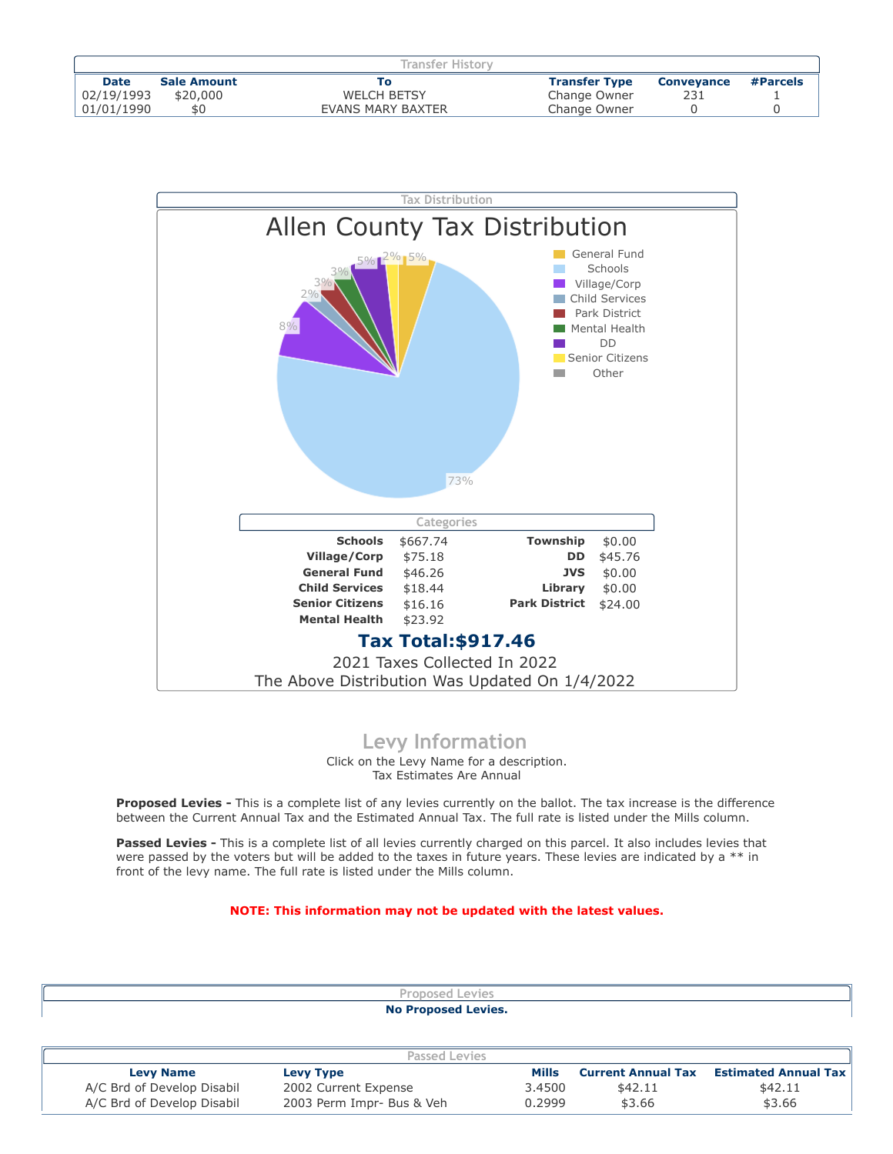|             |                    | Transfer History   |                      |                   |          |
|-------------|--------------------|--------------------|----------------------|-------------------|----------|
| <b>Date</b> | <b>Sale Amount</b> |                    | <b>Transfer Type</b> | <b>Conveyance</b> | #Parcels |
| 02/19/1993  | \$20,000           | <b>WELCH BETSY</b> | Change Owner         |                   |          |
| 01/01/1990  | \$0                | EVANS MARY BAXTER  | Change Owner         |                   |          |



## **Levy Information**

Click on the Levy Name for a description. Tax Estimates Are Annual

**Proposed Levies -** This is a complete list of any levies currently on the ballot. The tax increase is the difference between the Current Annual Tax and the Estimated Annual Tax. The full rate is listed under the Mills column.

Passed Levies - This is a complete list of all levies currently charged on this parcel. It also includes levies that were passed by the voters but will be added to the taxes in future years. These levies are indicated by a \*\* in front of the levy name. The full rate is listed under the Mills column.

## **NOTE: This information may not be updated with the latest values.**

| <b>No Proposed Levies.</b> |  |
|----------------------------|--|
| evies<br>roposed L         |  |
|                            |  |

| Passed Levies              |                      |                                     |                           |                             |  |  |
|----------------------------|----------------------|-------------------------------------|---------------------------|-----------------------------|--|--|
| <b>Levy Name</b>           | <b>Levy Type</b>     | Mills                               | <b>Current Annual Tax</b> | <b>Estimated Annual Tax</b> |  |  |
| A/C Brd of Develop Disabil | 2002 Current Expense | 3.4500                              | \$42.11                   | \$42.11                     |  |  |
| A/C Brd of Develop Disabil |                      | 0.2999<br>2003 Perm Impr- Bus & Veh | \$3.66                    | \$3.66                      |  |  |